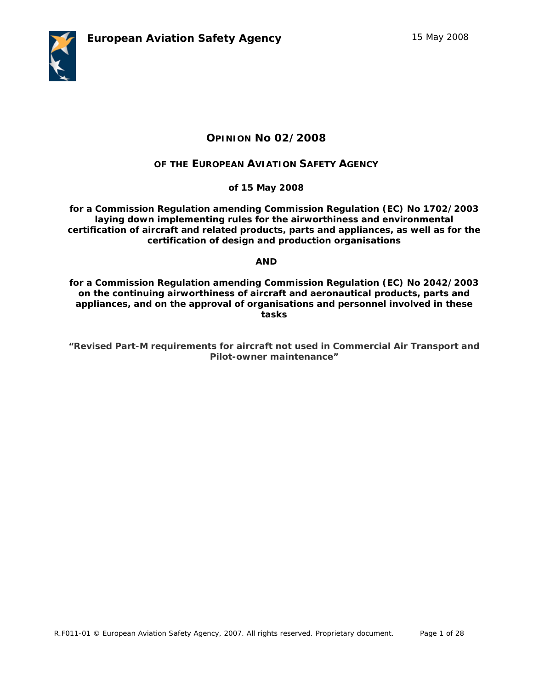

# **OPINION No 02/2008**

## **OF THE EUROPEAN AVIATION SAFETY AGENCY**

**of 15 May 2008** 

**for a Commission Regulation amending Commission Regulation (EC) No 1702/2003 laying down implementing rules for the airworthiness and environmental certification of aircraft and related products, parts and appliances, as well as for the certification of design and production organisations** 

## **AND**

**for a Commission Regulation amending Commission Regulation (EC) No 2042/2003 on the continuing airworthiness of aircraft and aeronautical products, parts and appliances, and on the approval of organisations and personnel involved in these tasks** 

**"***Revised Part-M requirements for aircraft not used in Commercial Air Transport and Pilot-owner maintenance"*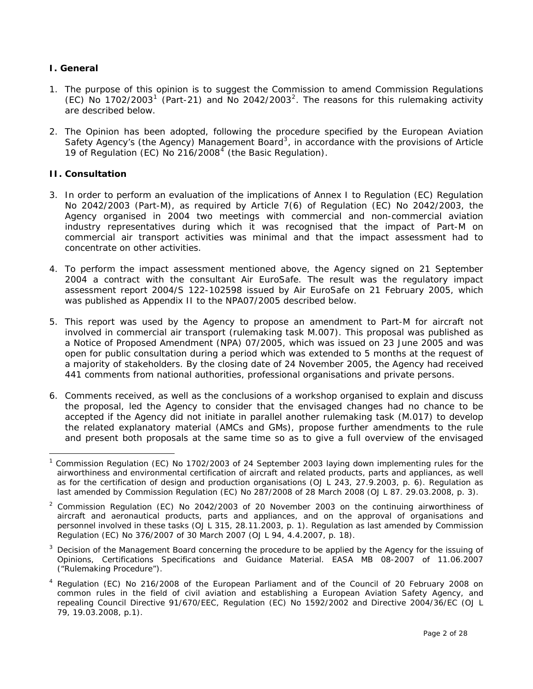## **I. General**

- 1. The purpose of this opinion is to suggest the Commission to amend Commission Regulations (EC) No [1](#page-1-0)70[2](#page-1-1)/2003<sup>1</sup> (Part-21) and No 2042/2003<sup>2</sup>. The reasons for this rulemaking activity are described below.
- 2. The Opinion has been adopted, following the procedure specified by the European Aviation Safety Agency's (the Agency) Management Board<sup>[3](#page-1-2)</sup>, in accordance with the provisions of Article 19 of Regulation (EC) No  $216/2008<sup>4</sup>$  $216/2008<sup>4</sup>$  $216/2008<sup>4</sup>$  (the Basic Regulation).

#### **II. Consultation**

 $\overline{a}$ 

- 3. In order to perform an evaluation of the implications of Annex I to Regulation (EC) Regulation No 2042/2003 (Part-M), as required by Article 7(6) of Regulation (EC) No 2042/2003, the Agency organised in 2004 two meetings with commercial and non-commercial aviation industry representatives during which it was recognised that the impact of Part-M on commercial air transport activities was minimal and that the impact assessment had to concentrate on other activities.
- 4. To perform the impact assessment mentioned above, the Agency signed on 21 September 2004 a contract with the consultant Air EuroSafe. The result was the regulatory impact assessment report 2004/S 122-102598 issued by Air EuroSafe on 21 February 2005, which was published as Appendix II to the NPA07/2005 described below.
- 5. This report was used by the Agency to propose an amendment to Part-M for aircraft not involved in commercial air transport (rulemaking task M.007). This proposal was published as a Notice of Proposed Amendment (NPA) 07/2005, which was issued on 23 June 2005 and was open for public consultation during a period which was extended to 5 months at the request of a majority of stakeholders. By the closing date of 24 November 2005, the Agency had received 441 comments from national authorities, professional organisations and private persons.
- 6. Comments received, as well as the conclusions of a workshop organised to explain and discuss the proposal, led the Agency to consider that the envisaged changes had no chance to be accepted if the Agency did not initiate in parallel another rulemaking task (M.017) to develop the related explanatory material (AMCs and GMs), propose further amendments to the rule and present both proposals at the same time so as to give a full overview of the envisaged

<span id="page-1-0"></span><sup>1</sup> Commission Regulation (EC) No 1702/2003 of 24 September 2003 laying down implementing rules for the airworthiness and environmental certification of aircraft and related products, parts and appliances, as well as for the certification of design and production organisations *(OJ L 243, 27.9.2003, p. 6)*. Regulation as last amended by Commission Regulation (EC) No 287/2008 of 28 March 2008 *(OJ L 87. 29.03.2008, p. 3)*.

<span id="page-1-1"></span><sup>&</sup>lt;sup>2</sup> Commission Regulation (EC) No 2042/2003 of 20 November 2003 on the continuing airworthiness of aircraft and aeronautical products, parts and appliances, and on the approval of organisations and personnel involved in these tasks (*OJ L 315, 28.11.2003, p. 1*). Regulation as last amended by Commission Regulation (EC) No 376/2007 of 30 March 2007 (*OJ L 94, 4.4.2007, p. 18*).

<span id="page-1-2"></span> $3$  Decision of the Management Board concerning the procedure to be applied by the Agency for the issuing of Opinions, Certifications Specifications and Guidance Material. EASA MB 08-2007 of 11.06.2007 ("Rulemaking Procedure").

<span id="page-1-3"></span><sup>&</sup>lt;sup>4</sup> Regulation (EC) No 216/2008 of the European Parliament and of the Council of 20 February 2008 on common rules in the field of civil aviation and establishing a European Aviation Safety Agency, and repealing Council Directive 91/670/EEC, Regulation (EC) No 1592/2002 and Directive 2004/36/EC (OJ L 79, 19.03.2008, p.1).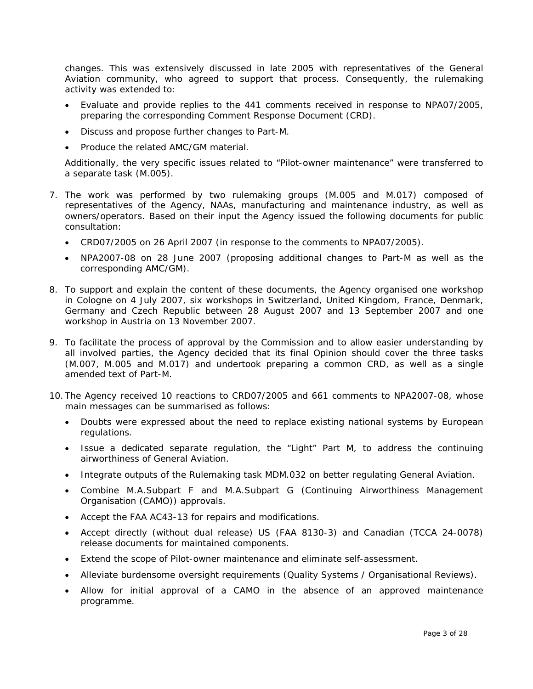changes. This was extensively discussed in late 2005 with representatives of the General Aviation community, who agreed to support that process. Consequently, the rulemaking activity was extended to:

- Evaluate and provide replies to the 441 comments received in response to NPA07/2005, preparing the corresponding Comment Response Document (CRD).
- Discuss and propose further changes to Part-M.
- Produce the related AMC/GM material.

Additionally, the very specific issues related to "Pilot-owner maintenance" were transferred to a separate task (M.005).

- 7. The work was performed by two rulemaking groups (M.005 and M.017) composed of representatives of the Agency, NAAs, manufacturing and maintenance industry, as well as owners/operators. Based on their input the Agency issued the following documents for public consultation:
	- CRD07/2005 on 26 April 2007 (in response to the comments to NPA07/2005).
	- NPA2007-08 on 28 June 2007 (proposing additional changes to Part-M as well as the corresponding AMC/GM).
- 8. To support and explain the content of these documents, the Agency organised one workshop in Cologne on 4 July 2007, six workshops in Switzerland, United Kingdom, France, Denmark, Germany and Czech Republic between 28 August 2007 and 13 September 2007 and one workshop in Austria on 13 November 2007.
- 9. To facilitate the process of approval by the Commission and to allow easier understanding by all involved parties, the Agency decided that its final Opinion should cover the three tasks (M.007, M.005 and M.017) and undertook preparing a common CRD, as well as a single amended text of Part-M.
- 10. The Agency received 10 reactions to CRD07/2005 and 661 comments to NPA2007-08, whose main messages can be summarised as follows:
	- Doubts were expressed about the need to replace existing national systems by European regulations.
	- Issue a dedicated separate regulation, the "Light" Part M, to address the continuing airworthiness of General Aviation.
	- Integrate outputs of the Rulemaking task MDM.032 on better regulating General Aviation.
	- Combine M.A.Subpart F and M.A.Subpart G (Continuing Airworthiness Management Organisation (CAMO)) approvals.
	- Accept the FAA AC43-13 for repairs and modifications.
	- Accept directly (without dual release) US (FAA 8130-3) and Canadian (TCCA 24-0078) release documents for maintained components.
	- Extend the scope of Pilot-owner maintenance and eliminate self-assessment.
	- Alleviate burdensome oversight requirements (Quality Systems / Organisational Reviews).
	- Allow for initial approval of a CAMO in the absence of an approved maintenance programme.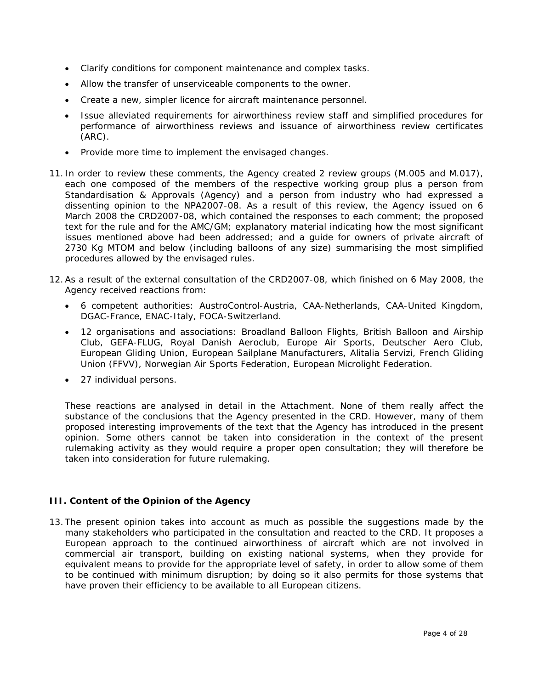- Clarify conditions for component maintenance and complex tasks.
- Allow the transfer of unserviceable components to the owner.
- Create a new, simpler licence for aircraft maintenance personnel.
- Issue alleviated requirements for airworthiness review staff and simplified procedures for performance of airworthiness reviews and issuance of airworthiness review certificates (ARC).
- Provide more time to implement the envisaged changes.
- 11. In order to review these comments, the Agency created 2 review groups (M.005 and M.017), each one composed of the members of the respective working group plus a person from Standardisation & Approvals (Agency) and a person from industry who had expressed a dissenting opinion to the NPA2007-08. As a result of this review, the Agency issued on 6 March 2008 the CRD2007-08, which contained the responses to each comment; the proposed text for the rule and for the AMC/GM; explanatory material indicating how the most significant issues mentioned above had been addressed; and a guide for owners of private aircraft of 2730 Kg MTOM and below (including balloons of any size) summarising the most simplified procedures allowed by the envisaged rules.
- 12. As a result of the external consultation of the CRD2007-08, which finished on 6 May 2008, the Agency received reactions from:
	- 6 competent authorities: AustroControl-Austria, CAA-Netherlands, CAA-United Kingdom, DGAC-France, ENAC-Italy, FOCA-Switzerland.
	- 12 organisations and associations: Broadland Balloon Flights, British Balloon and Airship Club, GEFA-FLUG, Royal Danish Aeroclub, Europe Air Sports, Deutscher Aero Club, European Gliding Union, European Sailplane Manufacturers, Alitalia Servizi, French Gliding Union (FFVV), Norwegian Air Sports Federation, European Microlight Federation.
	- 27 individual persons.

These reactions are analysed in detail in the Attachment. None of them really affect the substance of the conclusions that the Agency presented in the CRD. However, many of them proposed interesting improvements of the text that the Agency has introduced in the present opinion. Some others cannot be taken into consideration in the context of the present rulemaking activity as they would require a proper open consultation; they will therefore be taken into consideration for future rulemaking.

## **III. Content of the Opinion of the Agency**

13. The present opinion takes into account as much as possible the suggestions made by the many stakeholders who participated in the consultation and reacted to the CRD. It proposes a European approach to the continued airworthiness of aircraft which are not involved in commercial air transport, building on existing national systems, when they provide for equivalent means to provide for the appropriate level of safety, in order to allow some of them to be continued with minimum disruption; by doing so it also permits for those systems that have proven their efficiency to be available to all European citizens.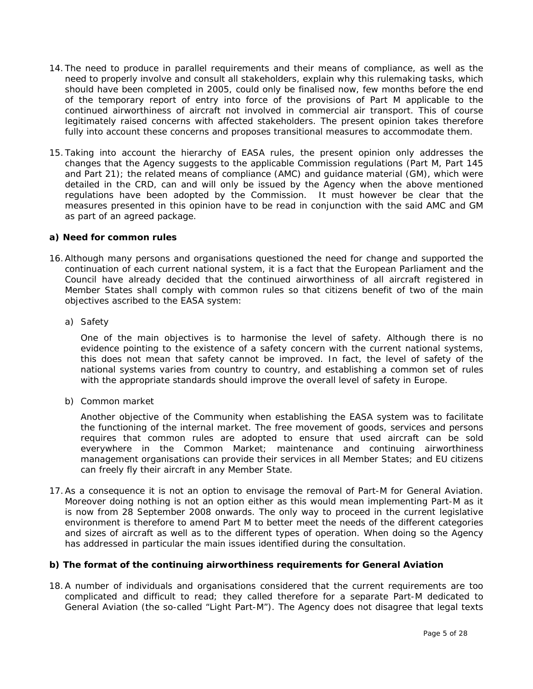- 14. The need to produce in parallel requirements and their means of compliance, as well as the need to properly involve and consult all stakeholders, explain why this rulemaking tasks, which should have been completed in 2005, could only be finalised now, few months before the end of the temporary report of entry into force of the provisions of Part M applicable to the continued airworthiness of aircraft not involved in commercial air transport. This of course legitimately raised concerns with affected stakeholders. The present opinion takes therefore fully into account these concerns and proposes transitional measures to accommodate them.
- 15. Taking into account the hierarchy of EASA rules, the present opinion only addresses the changes that the Agency suggests to the applicable Commission regulations (Part M, Part 145 and Part 21); the related means of compliance (AMC) and guidance material (GM), which were detailed in the CRD, can and will only be issued by the Agency when the above mentioned regulations have been adopted by the Commission. It must however be clear that the measures presented in this opinion have to be read in conjunction with the said AMC and GM as part of an agreed package.

## *a) Need for common rules*

- 16. Although many persons and organisations questioned the need for change and supported the continuation of each current national system, it is a fact that the European Parliament and the Council have already decided that the continued airworthiness of all aircraft registered in Member States shall comply with common rules so that citizens benefit of two of the main objectives ascribed to the EASA system:
	- a) Safety

One of the main objectives is to harmonise the level of safety. Although there is no evidence pointing to the existence of a safety concern with the current national systems, this does not mean that safety cannot be improved. In fact, the level of safety of the national systems varies from country to country, and establishing a common set of rules with the appropriate standards should improve the overall level of safety in Europe.

b) Common market

Another objective of the Community when establishing the EASA system was to facilitate the functioning of the internal market. The free movement of goods, services and persons requires that common rules are adopted to ensure that used aircraft can be sold everywhere in the Common Market; maintenance and continuing airworthiness management organisations can provide their services in all Member States; and EU citizens can freely fly their aircraft in any Member State.

17. As a consequence it is not an option to envisage the removal of Part-M for General Aviation. Moreover doing nothing is not an option either as this would mean implementing Part-M as it is now from 28 September 2008 onwards. The only way to proceed in the current legislative environment is therefore to amend Part M to better meet the needs of the different categories and sizes of aircraft as well as to the different types of operation. When doing so the Agency has addressed in particular the main issues identified during the consultation.

#### *b) The format of the continuing airworthiness requirements for General Aviation*

18. A number of individuals and organisations considered that the current requirements are too complicated and difficult to read; they called therefore for a separate Part-M dedicated to General Aviation (the so-called "Light Part-M"). The Agency does not disagree that legal texts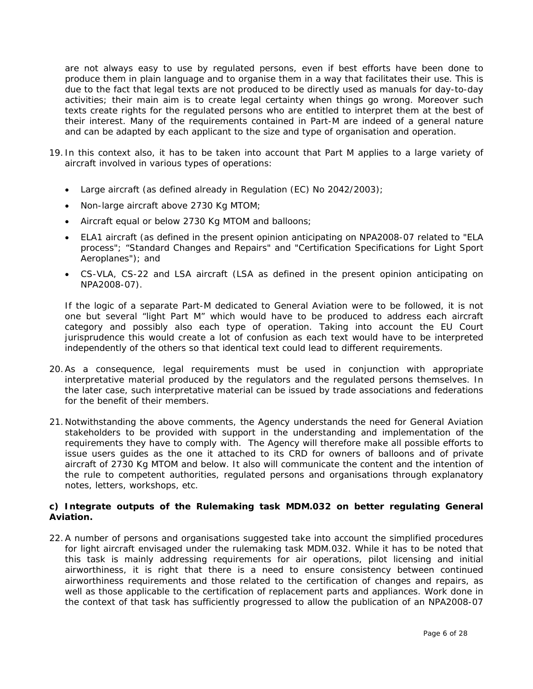are not always easy to use by regulated persons, even if best efforts have been done to produce them in plain language and to organise them in a way that facilitates their use. This is due to the fact that legal texts are not produced to be directly used as manuals for day-to-day activities; their main aim is to create legal certainty when things go wrong. Moreover such texts create rights for the regulated persons who are entitled to interpret them at the best of their interest. Many of the requirements contained in Part-M are indeed of a general nature and can be adapted by each applicant to the size and type of organisation and operation.

- 19. In this context also, it has to be taken into account that Part M applies to a large variety of aircraft involved in various types of operations:
	- Large aircraft (as defined already in Regulation (EC) No 2042/2003);
	- Non-large aircraft above 2730 Kg MTOM;
	- Aircraft equal or below 2730 Kg MTOM and balloons;
	- ELA1 aircraft (as defined in the present opinion anticipating on NPA2008-07 related to "ELA process"; "Standard Changes and Repairs" and "Certification Specifications for Light Sport Aeroplanes"); and
	- CS-VLA, CS-22 and LSA aircraft (LSA as defined in the present opinion anticipating on NPA2008-07).

If the logic of a separate Part-M dedicated to General Aviation were to be followed, it is not one but several "light Part M" which would have to be produced to address each aircraft category and possibly also each type of operation. Taking into account the EU Court jurisprudence this would create a lot of confusion as each text would have to be interpreted independently of the others so that identical text could lead to different requirements.

- 20. As a consequence, legal requirements must be used in conjunction with appropriate interpretative material produced by the regulators and the regulated persons themselves. In the later case, such interpretative material can be issued by trade associations and federations for the benefit of their members.
- 21. Notwithstanding the above comments, the Agency understands the need for General Aviation stakeholders to be provided with support in the understanding and implementation of the requirements they have to comply with. The Agency will therefore make all possible efforts to issue users guides as the one it attached to its CRD for owners of balloons and of private aircraft of 2730 Kg MTOM and below. It also will communicate the content and the intention of the rule to competent authorities, regulated persons and organisations through explanatory notes, letters, workshops, etc.

## *c) Integrate outputs of the Rulemaking task MDM.032 on better regulating General Aviation.*

22. A number of persons and organisations suggested take into account the simplified procedures for light aircraft envisaged under the rulemaking task MDM.032. While it has to be noted that this task is mainly addressing requirements for air operations, pilot licensing and initial airworthiness, it is right that there is a need to ensure consistency between continued airworthiness requirements and those related to the certification of changes and repairs, as well as those applicable to the certification of replacement parts and appliances. Work done in the context of that task has sufficiently progressed to allow the publication of an NPA2008-07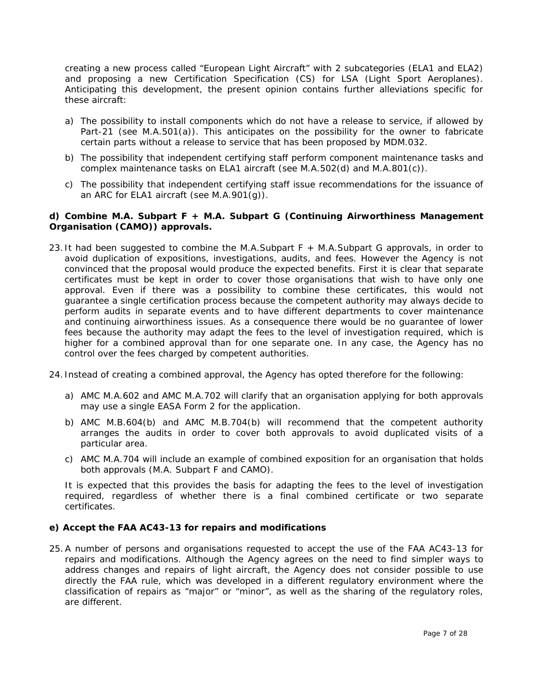creating a new process called "European Light Aircraft" with 2 subcategories (ELA1 and ELA2) and proposing a new Certification Specification (CS) for LSA (Light Sport Aeroplanes). Anticipating this development, the present opinion contains further alleviations specific for these aircraft:

- a) The possibility to install components which do not have a release to service, if allowed by Part-21 (see  $M.A.501(a)$ ). This anticipates on the possibility for the owner to fabricate certain parts without a release to service that has been proposed by MDM.032.
- b) The possibility that independent certifying staff perform component maintenance tasks and complex maintenance tasks on ELA1 aircraft (see M.A.502(d) and M.A.801(c)).
- c) The possibility that independent certifying staff issue recommendations for the issuance of an ARC for ELA1 aircraft (see M.A.901(g)).

#### *d) Combine M.A. Subpart F + M.A. Subpart G (Continuing Airworthiness Management Organisation (CAMO)) approvals.*

- 23. It had been suggested to combine the M.A.Subpart F + M.A.Subpart G approvals, in order to avoid duplication of expositions, investigations, audits, and fees. However the Agency is not convinced that the proposal would produce the expected benefits. First it is clear that separate certificates must be kept in order to cover those organisations that wish to have only one approval. Even if there was a possibility to combine these certificates, this would not guarantee a single certification process because the competent authority may always decide to perform audits in separate events and to have different departments to cover maintenance and continuing airworthiness issues. As a consequence there would be no guarantee of lower fees because the authority may adapt the fees to the level of investigation required, which is higher for a combined approval than for one separate one. In any case, the Agency has no control over the fees charged by competent authorities.
- 24. Instead of creating a combined approval, the Agency has opted therefore for the following:
	- a) AMC M.A.602 and AMC M.A.702 will clarify that an organisation applying for both approvals may use a single EASA Form 2 for the application.
	- b) AMC M.B.604(b) and AMC M.B.704(b) will recommend that the competent authority arranges the audits in order to cover both approvals to avoid duplicated visits of a particular area.
	- c) AMC M.A.704 will include an example of combined exposition for an organisation that holds both approvals (M.A. Subpart F and CAMO).

It is expected that this provides the basis for adapting the fees to the level of investigation required, regardless of whether there is a final combined certificate or two separate certificates.

#### *e) Accept the FAA AC43-13 for repairs and modifications*

25. A number of persons and organisations requested to accept the use of the FAA AC43-13 for repairs and modifications. Although the Agency agrees on the need to find simpler ways to address changes and repairs of light aircraft, the Agency does not consider possible to use directly the FAA rule, which was developed in a different regulatory environment where the classification of repairs as "major" or "minor", as well as the sharing of the regulatory roles, are different.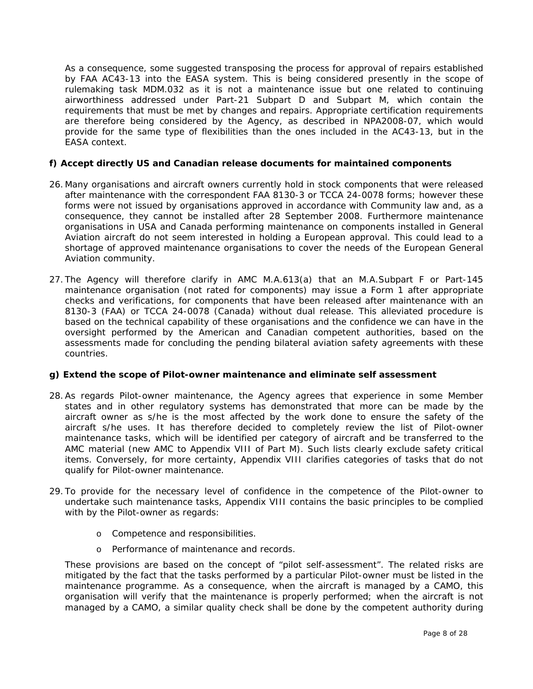As a consequence, some suggested transposing the process for approval of repairs established by FAA AC43-13 into the EASA system. This is being considered presently in the scope of rulemaking task MDM.032 as it is not a maintenance issue but one related to continuing airworthiness addressed under Part-21 Subpart D and Subpart M, which contain the requirements that must be met by changes and repairs. Appropriate certification requirements are therefore being considered by the Agency, as described in NPA2008-07, which would provide for the same type of flexibilities than the ones included in the AC43-13, but in the EASA context.

## *f) Accept directly US and Canadian release documents for maintained components*

- 26. Many organisations and aircraft owners currently hold in stock components that were released after maintenance with the correspondent FAA 8130-3 or TCCA 24-0078 forms; however these forms were not issued by organisations approved in accordance with Community law and, as a consequence, they cannot be installed after 28 September 2008. Furthermore maintenance organisations in USA and Canada performing maintenance on components installed in General Aviation aircraft do not seem interested in holding a European approval. This could lead to a shortage of approved maintenance organisations to cover the needs of the European General Aviation community.
- 27. The Agency will therefore clarify in AMC M.A.613(a) that an M.A.Subpart F or Part-145 maintenance organisation (not rated for components) may issue a Form 1 after appropriate checks and verifications, for components that have been released after maintenance with an 8130-3 (FAA) or TCCA 24-0078 (Canada) without dual release. This alleviated procedure is based on the technical capability of these organisations and the confidence we can have in the oversight performed by the American and Canadian competent authorities, based on the assessments made for concluding the pending bilateral aviation safety agreements with these countries.

#### *g) Extend the scope of Pilot-owner maintenance and eliminate self assessment*

- 28. As regards Pilot-owner maintenance, the Agency agrees that experience in some Member states and in other regulatory systems has demonstrated that more can be made by the aircraft owner as s/he is the most affected by the work done to ensure the safety of the aircraft s/he uses. It has therefore decided to completely review the list of Pilot-owner maintenance tasks, which will be identified per category of aircraft and be transferred to the AMC material (new AMC to Appendix VIII of Part M). Such lists clearly exclude safety critical items. Conversely, for more certainty, Appendix VIII clarifies categories of tasks that do not qualify for Pilot-owner maintenance.
- 29. To provide for the necessary level of confidence in the competence of the Pilot-owner to undertake such maintenance tasks, Appendix VIII contains the basic principles to be complied with by the Pilot-owner as regards:
	- o Competence and responsibilities.
	- o Performance of maintenance and records.

These provisions are based on the concept of "pilot self-assessment". The related risks are mitigated by the fact that the tasks performed by a particular Pilot-owner must be listed in the maintenance programme. As a consequence, when the aircraft is managed by a CAMO, this organisation will verify that the maintenance is properly performed; when the aircraft is not managed by a CAMO, a similar quality check shall be done by the competent authority during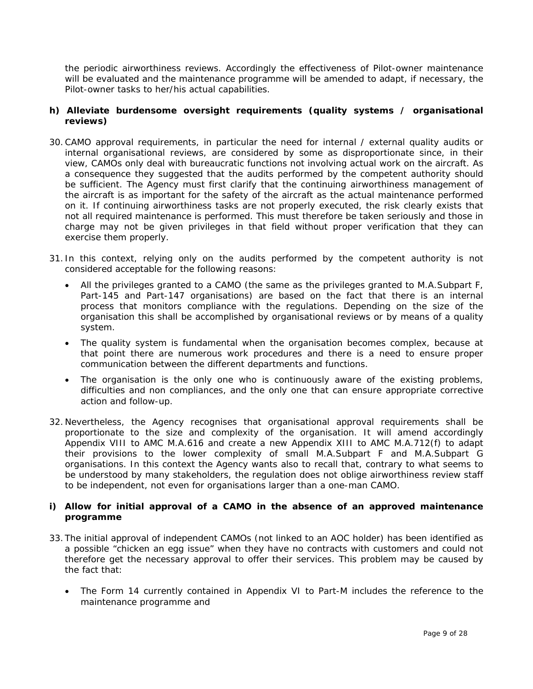the periodic airworthiness reviews. Accordingly the effectiveness of Pilot-owner maintenance will be evaluated and the maintenance programme will be amended to adapt, if necessary, the Pilot-owner tasks to her/his actual capabilities.

## *h) Alleviate burdensome oversight requirements (quality systems / organisational reviews)*

- 30. CAMO approval requirements, in particular the need for internal / external quality audits or internal organisational reviews, are considered by some as disproportionate since, in their view, CAMOs only deal with bureaucratic functions not involving actual work on the aircraft. As a consequence they suggested that the audits performed by the competent authority should be sufficient. The Agency must first clarify that the continuing airworthiness management of the aircraft is as important for the safety of the aircraft as the actual maintenance performed on it. If continuing airworthiness tasks are not properly executed, the risk clearly exists that not all required maintenance is performed. This must therefore be taken seriously and those in charge may not be given privileges in that field without proper verification that they can exercise them properly.
- 31. In this context, relying only on the audits performed by the competent authority is not considered acceptable for the following reasons:
	- All the privileges granted to a CAMO (the same as the privileges granted to M.A.Subpart F, Part-145 and Part-147 organisations) are based on the fact that there is an internal process that monitors compliance with the regulations. Depending on the size of the organisation this shall be accomplished by organisational reviews or by means of a quality system.
	- The quality system is fundamental when the organisation becomes complex, because at that point there are numerous work procedures and there is a need to ensure proper communication between the different departments and functions.
	- The organisation is the only one who is continuously aware of the existing problems, difficulties and non compliances, and the only one that can ensure appropriate corrective action and follow-up.
- 32. Nevertheless, the Agency recognises that organisational approval requirements shall be proportionate to the size and complexity of the organisation. It will amend accordingly Appendix VIII to AMC M.A.616 and create a new Appendix XIII to AMC M.A.712(f) to adapt their provisions to the lower complexity of small M.A.Subpart F and M.A.Subpart G organisations. In this context the Agency wants also to recall that, contrary to what seems to be understood by many stakeholders, the regulation does not oblige airworthiness review staff to be independent, not even for organisations larger than a one-man CAMO.

## *i) Allow for initial approval of a CAMO in the absence of an approved maintenance programme*

- 33. The initial approval of independent CAMOs (not linked to an AOC holder) has been identified as a possible "chicken an egg issue" when they have no contracts with customers and could not therefore get the necessary approval to offer their services. This problem may be caused by the fact that:
	- The Form 14 currently contained in Appendix VI to Part-M includes the reference to the maintenance programme and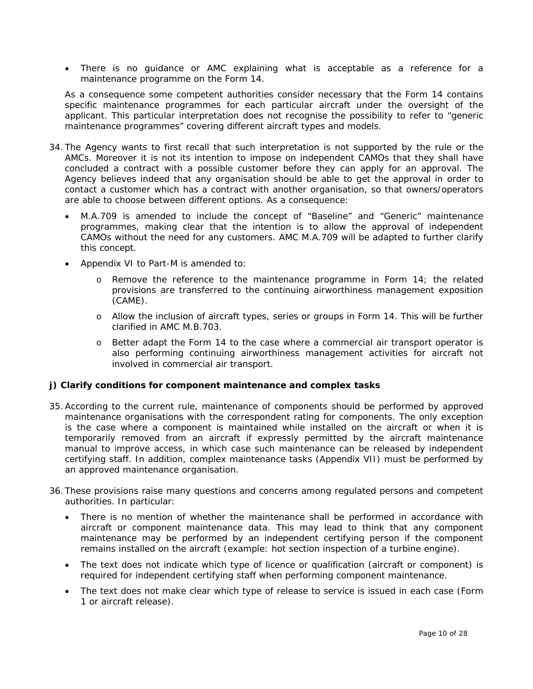• There is no guidance or AMC explaining what is acceptable as a reference for a maintenance programme on the Form 14.

As a consequence some competent authorities consider necessary that the Form 14 contains specific maintenance programmes for each particular aircraft under the oversight of the applicant. This particular interpretation does not recognise the possibility to refer to "generic maintenance programmes" covering different aircraft types and models.

- 34. The Agency wants to first recall that such interpretation is not supported by the rule or the AMCs. Moreover it is not its intention to impose on independent CAMOs that they shall have concluded a contract with a possible customer before they can apply for an approval. The Agency believes indeed that any organisation should be able to get the approval in order to contact a customer which has a contract with another organisation, so that owners/operators are able to choose between different options. As a consequence:
	- M.A.709 is amended to include the concept of "Baseline" and "Generic" maintenance programmes, making clear that the intention is to allow the approval of independent CAMOs without the need for any customers. AMC M.A.709 will be adapted to further clarify this concept.
	- Appendix VI to Part-M is amended to:
		- o Remove the reference to the maintenance programme in Form 14; the related provisions are transferred to the continuing airworthiness management exposition (CAME).
		- o Allow the inclusion of aircraft types, series or groups in Form 14. This will be further clarified in AMC M.B.703.
		- o Better adapt the Form 14 to the case where a commercial air transport operator is also performing continuing airworthiness management activities for aircraft not involved in commercial air transport.

## *j) Clarify conditions for component maintenance and complex tasks*

- 35. According to the current rule, maintenance of components should be performed by approved maintenance organisations with the correspondent rating for components. The only exception is the case where a component is maintained while installed on the aircraft or when it is temporarily removed from an aircraft if expressly permitted by the aircraft maintenance manual to improve access, in which case such maintenance can be released by independent certifying staff. In addition, complex maintenance tasks (Appendix VII) must be performed by an approved maintenance organisation.
- 36. These provisions raise many questions and concerns among regulated persons and competent authorities. In particular:
	- There is no mention of whether the maintenance shall be performed in accordance with aircraft or component maintenance data. This may lead to think that any component maintenance may be performed by an independent certifying person if the component remains installed on the aircraft (example: hot section inspection of a turbine engine).
	- The text does not indicate which type of licence or qualification (aircraft or component) is required for independent certifying staff when performing component maintenance.
	- The text does not make clear which type of release to service is issued in each case (Form 1 or aircraft release).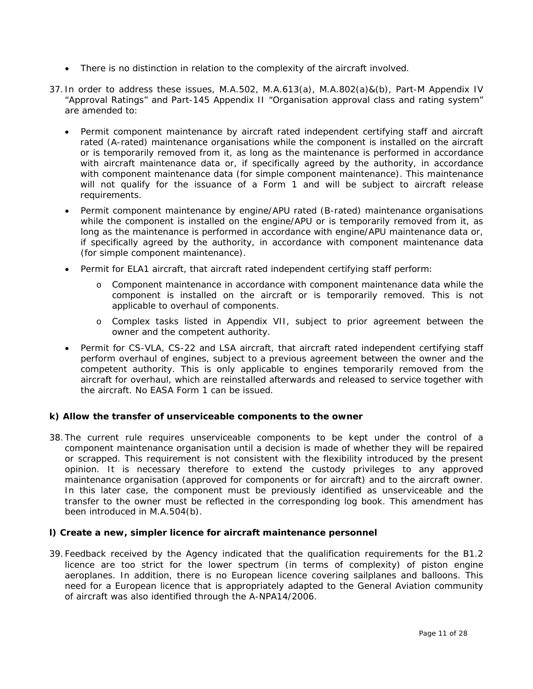- There is no distinction in relation to the complexity of the aircraft involved.
- 37. In order to address these issues, M.A.502, M.A.613(a), M.A.802(a)&(b), Part-M Appendix IV "Approval Ratings" and Part-145 Appendix II "Organisation approval class and rating system" are amended to:
	- Permit component maintenance by aircraft rated independent certifying staff and aircraft rated (A-rated) maintenance organisations while the component is installed on the aircraft or is temporarily removed from it, as long as the maintenance is performed in accordance with aircraft maintenance data or, if specifically agreed by the authority, in accordance with component maintenance data (for simple component maintenance). This maintenance will not qualify for the issuance of a Form 1 and will be subject to aircraft release requirements.
	- Permit component maintenance by engine/APU rated (B-rated) maintenance organisations while the component is installed on the engine/APU or is temporarily removed from it, as long as the maintenance is performed in accordance with engine/APU maintenance data or, if specifically agreed by the authority, in accordance with component maintenance data (for simple component maintenance).
	- Permit for ELA1 aircraft, that aircraft rated independent certifying staff perform:
		- o Component maintenance in accordance with component maintenance data while the component is installed on the aircraft or is temporarily removed. This is not applicable to overhaul of components.
		- o Complex tasks listed in Appendix VII, subject to prior agreement between the owner and the competent authority.
	- Permit for CS-VLA, CS-22 and LSA aircraft, that aircraft rated independent certifying staff perform overhaul of engines, subject to a previous agreement between the owner and the competent authority. This is only applicable to engines temporarily removed from the aircraft for overhaul, which are reinstalled afterwards and released to service together with the aircraft. No EASA Form 1 can be issued.

## *k) Allow the transfer of unserviceable components to the owner*

38. The current rule requires unserviceable components to be kept under the control of a component maintenance organisation until a decision is made of whether they will be repaired or scrapped. This requirement is not consistent with the flexibility introduced by the present opinion. It is necessary therefore to extend the custody privileges to any approved maintenance organisation (approved for components or for aircraft) and to the aircraft owner. In this later case, the component must be previously identified as unserviceable and the transfer to the owner must be reflected in the corresponding log book. This amendment has been introduced in M.A.504(b).

#### *l) Create a new, simpler licence for aircraft maintenance personnel*

39. Feedback received by the Agency indicated that the qualification requirements for the B1.2 licence are too strict for the lower spectrum (in terms of complexity) of piston engine aeroplanes. In addition, there is no European licence covering sailplanes and balloons. This need for a European licence that is appropriately adapted to the General Aviation community of aircraft was also identified through the A-NPA14/2006.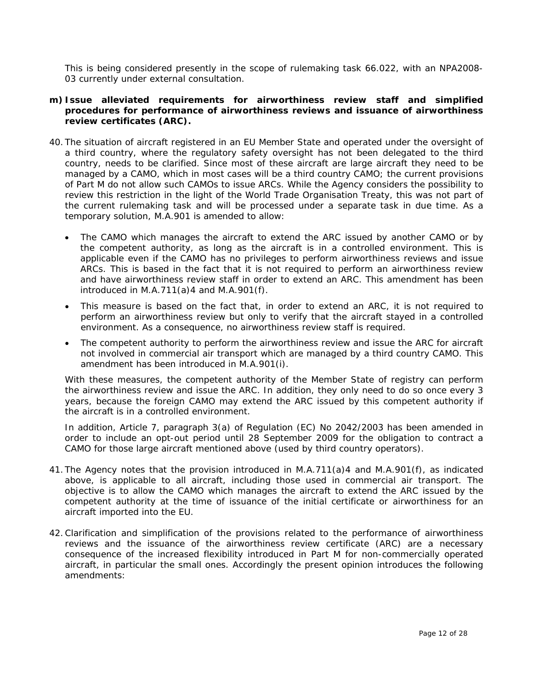This is being considered presently in the scope of rulemaking task 66.022, with an NPA2008- 03 currently under external consultation.

#### *m) Issue alleviated requirements for airworthiness review staff and simplified procedures for performance of airworthiness reviews and issuance of airworthiness review certificates (ARC).*

- 40. The situation of aircraft registered in an EU Member State and operated under the oversight of a third country, where the regulatory safety oversight has not been delegated to the third country, needs to be clarified. Since most of these aircraft are large aircraft they need to be managed by a CAMO, which in most cases will be a third country CAMO; the current provisions of Part M do not allow such CAMOs to issue ARCs. While the Agency considers the possibility to review this restriction in the light of the World Trade Organisation Treaty, this was not part of the current rulemaking task and will be processed under a separate task in due time. As a temporary solution, M.A.901 is amended to allow:
	- The CAMO which manages the aircraft to extend the ARC issued by another CAMO or by the competent authority, as long as the aircraft is in a controlled environment. This is applicable even if the CAMO has no privileges to perform airworthiness reviews and issue ARCs. This is based in the fact that it is not required to perform an airworthiness review and have airworthiness review staff in order to extend an ARC. This amendment has been introduced in M.A.711 $(a)$ 4 and M.A.901 $(f)$ .
	- This measure is based on the fact that, in order to extend an ARC, it is not required to perform an airworthiness review but only to verify that the aircraft stayed in a controlled environment. As a consequence, no airworthiness review staff is required.
	- The competent authority to perform the airworthiness review and issue the ARC for aircraft not involved in commercial air transport which are managed by a third country CAMO. This amendment has been introduced in M.A.901(i).

With these measures, the competent authority of the Member State of registry can perform the airworthiness review and issue the ARC. In addition, they only need to do so once every 3 years, because the foreign CAMO may extend the ARC issued by this competent authority if the aircraft is in a controlled environment.

In addition, Article 7, paragraph 3(a) of Regulation (EC) No 2042/2003 has been amended in order to include an opt-out period until 28 September 2009 for the obligation to contract a CAMO for those large aircraft mentioned above (used by third country operators).

- 41. The Agency notes that the provision introduced in M.A.711(a)4 and M.A.901(f), as indicated above, is applicable to all aircraft, including those used in commercial air transport. The objective is to allow the CAMO which manages the aircraft to extend the ARC issued by the competent authority at the time of issuance of the initial certificate or airworthiness for an aircraft imported into the EU.
- 42. Clarification and simplification of the provisions related to the performance of airworthiness reviews and the issuance of the airworthiness review certificate (ARC) are a necessary consequence of the increased flexibility introduced in Part M for non-commercially operated aircraft, in particular the small ones. Accordingly the present opinion introduces the following amendments: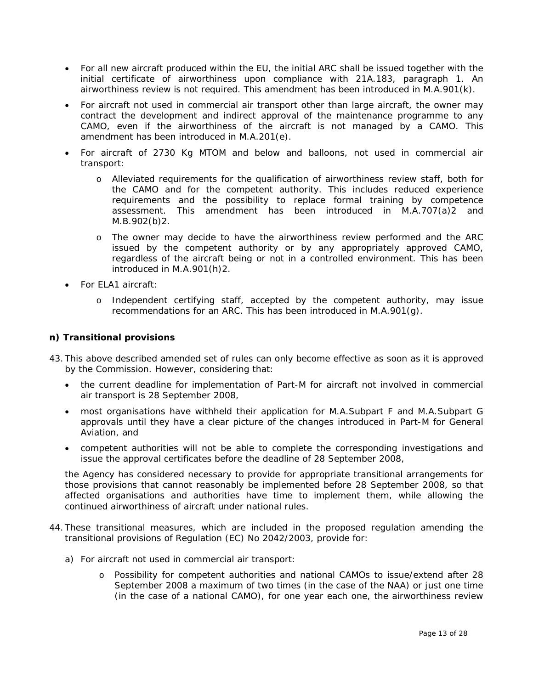- For all new aircraft produced within the EU, the initial ARC shall be issued together with the initial certificate of airworthiness upon compliance with 21A.183, paragraph 1. An airworthiness review is not required. This amendment has been introduced in M.A.901(k).
- For aircraft not used in commercial air transport other than large aircraft, the owner may contract the development and indirect approval of the maintenance programme to any CAMO, even if the airworthiness of the aircraft is not managed by a CAMO. This amendment has been introduced in M.A.201(e).
- For aircraft of 2730 Kg MTOM and below and balloons, not used in commercial air transport:
	- o Alleviated requirements for the qualification of airworthiness review staff, both for the CAMO and for the competent authority. This includes reduced experience requirements and the possibility to replace formal training by competence assessment. This amendment has been introduced in M.A.707(a)2 and M.B.902(b)2.
	- o The owner may decide to have the airworthiness review performed and the ARC issued by the competent authority or by any appropriately approved CAMO, regardless of the aircraft being or not in a controlled environment. This has been introduced in M.A.901(h)2.
- For ELA1 aircraft:
	- o Independent certifying staff, accepted by the competent authority, may issue recommendations for an ARC. This has been introduced in M.A.901(g).

## *n) Transitional provisions*

- 43. This above described amended set of rules can only become effective as soon as it is approved by the Commission. However, considering that:
	- the current deadline for implementation of Part-M for aircraft not involved in commercial air transport is 28 September 2008,
	- most organisations have withheld their application for M.A.Subpart F and M.A.Subpart G approvals until they have a clear picture of the changes introduced in Part-M for General Aviation, and
	- competent authorities will not be able to complete the corresponding investigations and issue the approval certificates before the deadline of 28 September 2008,

the Agency has considered necessary to provide for appropriate transitional arrangements for those provisions that cannot reasonably be implemented before 28 September 2008, so that affected organisations and authorities have time to implement them, while allowing the continued airworthiness of aircraft under national rules.

- 44. These transitional measures, which are included in the proposed regulation amending the transitional provisions of Regulation (EC) No 2042/2003, provide for:
	- a) For aircraft not used in commercial air transport:
		- o Possibility for competent authorities and national CAMOs to issue/extend after 28 September 2008 a maximum of two times (in the case of the NAA) or just one time (in the case of a national CAMO), for one year each one, the airworthiness review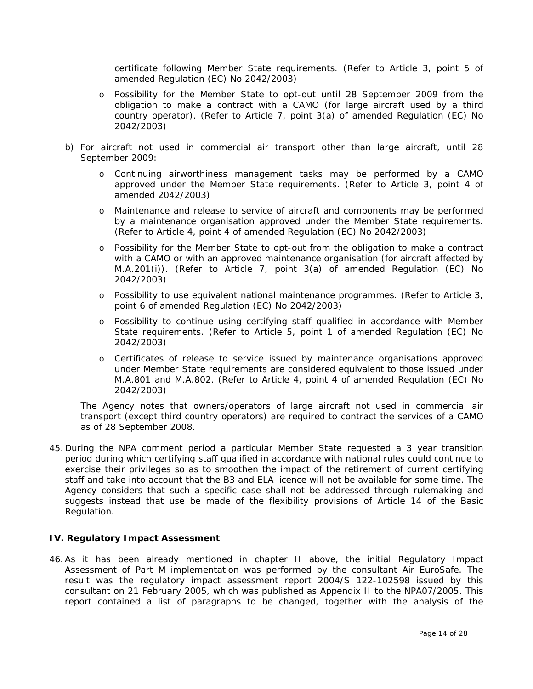certificate following Member State requirements. (Refer to Article 3, point 5 of amended Regulation (EC) No 2042/2003)

- o Possibility for the Member State to opt-out until 28 September 2009 from the obligation to make a contract with a CAMO (for large aircraft used by a third country operator). (Refer to Article 7, point 3(a) of amended Regulation (EC) No 2042/2003)
- b) For aircraft not used in commercial air transport other than large aircraft, until 28 September 2009:
	- o Continuing airworthiness management tasks may be performed by a CAMO approved under the Member State requirements. (Refer to Article 3, point 4 of amended 2042/2003)
	- o Maintenance and release to service of aircraft and components may be performed by a maintenance organisation approved under the Member State requirements. (Refer to Article 4, point 4 of amended Regulation (EC) No 2042/2003)
	- o Possibility for the Member State to opt-out from the obligation to make a contract with a CAMO or with an approved maintenance organisation (for aircraft affected by M.A.201(i)). (Refer to Article 7, point 3(a) of amended Regulation (EC) No 2042/2003)
	- o Possibility to use equivalent national maintenance programmes. (Refer to Article 3, point 6 of amended Regulation (EC) No 2042/2003)
	- o Possibility to continue using certifying staff qualified in accordance with Member State requirements. (Refer to Article 5, point 1 of amended Regulation (EC) No 2042/2003)
	- o Certificates of release to service issued by maintenance organisations approved under Member State requirements are considered equivalent to those issued under M.A.801 and M.A.802. (Refer to Article 4, point 4 of amended Regulation (EC) No 2042/2003)

The Agency notes that owners/operators of large aircraft not used in commercial air transport (except third country operators) are required to contract the services of a CAMO as of 28 September 2008.

45. During the NPA comment period a particular Member State requested a 3 year transition period during which certifying staff qualified in accordance with national rules could continue to exercise their privileges so as to smoothen the impact of the retirement of current certifying staff and take into account that the B3 and ELA licence will not be available for some time. The Agency considers that such a specific case shall not be addressed through rulemaking and suggests instead that use be made of the flexibility provisions of Article 14 of the Basic Regulation.

#### **IV. Regulatory Impact Assessment**

46. As it has been already mentioned in chapter II above, the initial Regulatory Impact Assessment of Part M implementation was performed by the consultant Air EuroSafe. The result was the regulatory impact assessment report 2004/S 122-102598 issued by this consultant on 21 February 2005, which was published as Appendix II to the NPA07/2005. This report contained a list of paragraphs to be changed, together with the analysis of the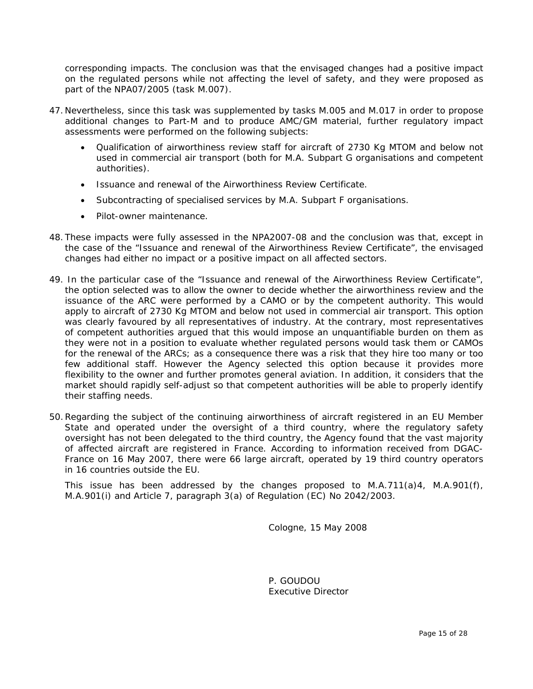corresponding impacts. The conclusion was that the envisaged changes had a positive impact on the regulated persons while not affecting the level of safety, and they were proposed as part of the NPA07/2005 (task M.007).

- 47. Nevertheless, since this task was supplemented by tasks M.005 and M.017 in order to propose additional changes to Part-M and to produce AMC/GM material, further regulatory impact assessments were performed on the following subjects:
	- Qualification of airworthiness review staff for aircraft of 2730 Kg MTOM and below not used in commercial air transport (both for M.A. Subpart G organisations and competent authorities).
	- Issuance and renewal of the Airworthiness Review Certificate.
	- Subcontracting of specialised services by M.A. Subpart F organisations.
	- Pilot-owner maintenance.
- 48. These impacts were fully assessed in the NPA2007-08 and the conclusion was that, except in the case of the "Issuance and renewal of the Airworthiness Review Certificate", the envisaged changes had either no impact or a positive impact on all affected sectors.
- 49. In the particular case of the "Issuance and renewal of the Airworthiness Review Certificate", the option selected was to allow the owner to decide whether the airworthiness review and the issuance of the ARC were performed by a CAMO or by the competent authority. This would apply to aircraft of 2730 Kg MTOM and below not used in commercial air transport. This option was clearly favoured by all representatives of industry. At the contrary, most representatives of competent authorities argued that this would impose an unquantifiable burden on them as they were not in a position to evaluate whether regulated persons would task them or CAMOs for the renewal of the ARCs; as a consequence there was a risk that they hire too many or too few additional staff. However the Agency selected this option because it provides more flexibility to the owner and further promotes general aviation. In addition, it considers that the market should rapidly self-adjust so that competent authorities will be able to properly identify their staffing needs.
- 50. Regarding the subject of the continuing airworthiness of aircraft registered in an EU Member State and operated under the oversight of a third country, where the regulatory safety oversight has not been delegated to the third country, the Agency found that the vast majority of affected aircraft are registered in France. According to information received from DGAC-France on 16 May 2007, there were 66 large aircraft, operated by 19 third country operators in 16 countries outside the EU.

 This issue has been addressed by the changes proposed to M.A.711(a)4, M.A.901(f), M.A.901(i) and Article 7, paragraph 3(a) of Regulation (EC) No 2042/2003.

Cologne, 15 May 2008

P. GOUDOU Executive Director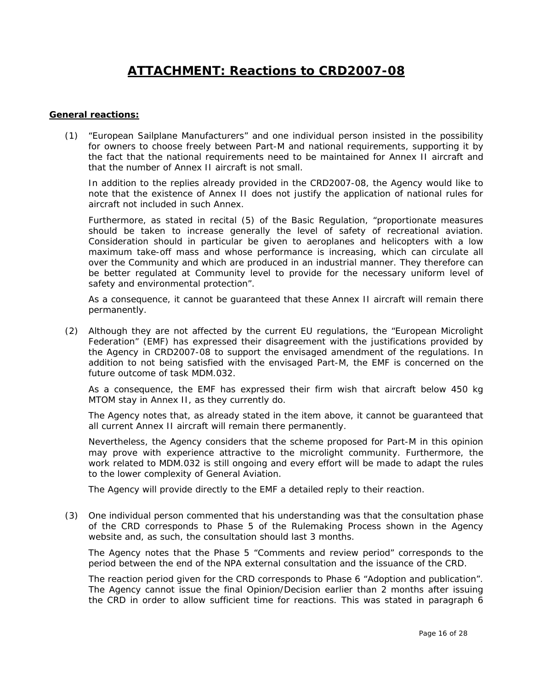# **ATTACHMENT: Reactions to CRD2007-08**

#### **General reactions:**

(1) "European Sailplane Manufacturers" and one individual person insisted in the possibility for owners to choose freely between Part-M and national requirements, supporting it by the fact that the national requirements need to be maintained for Annex II aircraft and that the number of Annex II aircraft is not small.

In addition to the replies already provided in the CRD2007-08, the Agency would like to note that the existence of Annex II does not justify the application of national rules for aircraft not included in such Annex.

Furthermore, as stated in recital (5) of the Basic Regulation, *"proportionate measures should be taken to increase generally the level of safety of recreational aviation. Consideration should in particular be given to aeroplanes and helicopters with a low*  maximum take-off mass and whose performance is increasing, which can circulate all *over the Community and which are produced in an industrial manner. They therefore can*  be better regulated at Community level to provide for the necessary uniform level of *safety and environmental protection".* 

As a consequence, it cannot be guaranteed that these Annex II aircraft will remain there permanently.

(2) Although they are not affected by the current EU regulations, the "European Microlight Federation" (EMF) has expressed their disagreement with the justifications provided by the Agency in CRD2007-08 to support the envisaged amendment of the regulations. In addition to not being satisfied with the envisaged Part-M, the EMF is concerned on the future outcome of task MDM.032.

As a consequence, the EMF has expressed their firm wish that aircraft below 450 kg MTOM stay in Annex II, as they currently do.

The Agency notes that, as already stated in the item above, it cannot be guaranteed that all current Annex II aircraft will remain there permanently.

Nevertheless, the Agency considers that the scheme proposed for Part-M in this opinion may prove with experience attractive to the microlight community. Furthermore, the work related to MDM.032 is still ongoing and every effort will be made to adapt the rules to the lower complexity of General Aviation.

The Agency will provide directly to the EMF a detailed reply to their reaction.

(3) One individual person commented that his understanding was that the consultation phase of the CRD corresponds to Phase 5 of the Rulemaking Process shown in the Agency website and, as such, the consultation should last 3 months.

The Agency notes that the Phase 5 "Comments and review period" corresponds to the period between the end of the NPA external consultation and the issuance of the CRD.

The reaction period given for the CRD corresponds to Phase 6 "Adoption and publication". The Agency cannot issue the final Opinion/Decision earlier than 2 months after issuing the CRD in order to allow sufficient time for reactions. This was stated in paragraph 6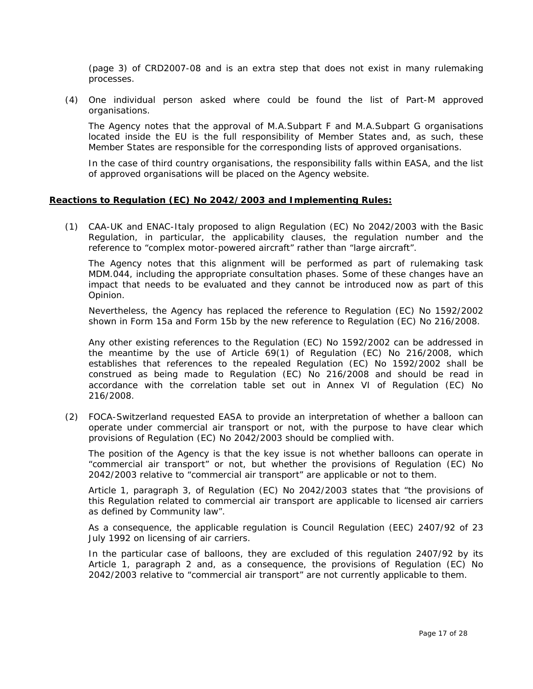(page 3) of CRD2007-08 and is an extra step that does not exist in many rulemaking processes.

(4) One individual person asked where could be found the list of Part-M approved organisations.

The Agency notes that the approval of M.A.Subpart F and M.A.Subpart G organisations located inside the EU is the full responsibility of Member States and, as such, these Member States are responsible for the corresponding lists of approved organisations.

In the case of third country organisations, the responsibility falls within EASA, and the list of approved organisations will be placed on the Agency website.

#### **Reactions to Regulation (EC) No 2042/2003 and Implementing Rules:**

(1) CAA-UK and ENAC-Italy proposed to align Regulation (EC) No 2042/2003 with the Basic Regulation, in particular, the applicability clauses, the regulation number and the reference to *"complex motor-powered aircraft"* rather than *"large aircraft".*

The Agency notes that this alignment will be performed as part of rulemaking task MDM.044, including the appropriate consultation phases. Some of these changes have an impact that needs to be evaluated and they cannot be introduced now as part of this Opinion.

Nevertheless, the Agency has replaced the reference to Regulation (EC) No 1592/2002 shown in Form 15a and Form 15b by the new reference to Regulation (EC) No 216/2008.

Any other existing references to the Regulation (EC) No 1592/2002 can be addressed in the meantime by the use of Article 69(1) of Regulation (EC) No 216/2008, which establishes that references to the repealed Regulation (EC) No 1592/2002 shall be construed as being made to Regulation (EC) No 216/2008 and should be read in accordance with the correlation table set out in Annex VI of Regulation (EC) No 216/2008.

(2) FOCA-Switzerland requested EASA to provide an interpretation of whether a balloon can operate under commercial air transport or not, with the purpose to have clear which provisions of Regulation (EC) No 2042/2003 should be complied with.

The position of the Agency is that the key issue is not whether balloons can operate in "commercial air transport" or not, but whether the provisions of Regulation (EC) No 2042/2003 relative to "commercial air transport" are applicable or not to them.

Article 1, paragraph 3, of Regulation (EC) No 2042/2003 states that *"the provisions of this Regulation related to commercial air transport are applicable to licensed air carriers as defined by Community law"*.

As a consequence, the applicable regulation is Council Regulation (EEC) 2407/92 of 23 July 1992 on licensing of air carriers.

In the particular case of balloons, they are excluded of this regulation 2407/92 by its Article 1, paragraph 2 and, as a consequence, the provisions of Regulation (EC) No 2042/2003 relative to "commercial air transport" are not currently applicable to them.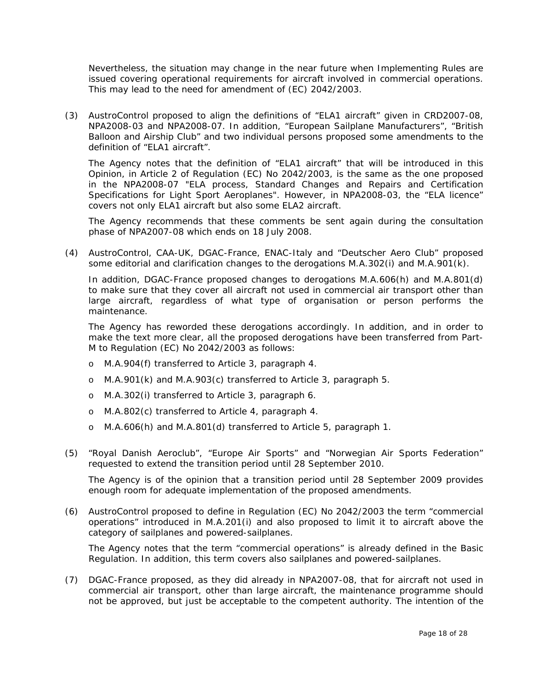Nevertheless, the situation may change in the near future when Implementing Rules are issued covering operational requirements for aircraft involved in commercial operations. This may lead to the need for amendment of (EC) 2042/2003.

(3) AustroControl proposed to align the definitions of "ELA1 aircraft" given in CRD2007-08, NPA2008-03 and NPA2008-07. In addition, "European Sailplane Manufacturers", "British Balloon and Airship Club" and two individual persons proposed some amendments to the definition of "ELA1 aircraft".

The Agency notes that the definition of "ELA1 aircraft" that will be introduced in this Opinion, in Article 2 of Regulation (EC) No 2042/2003, is the same as the one proposed in the NPA2008-07 "ELA process, Standard Changes and Repairs and Certification Specifications for Light Sport Aeroplanes". However, in NPA2008-03, the "ELA licence" covers not only ELA1 aircraft but also some ELA2 aircraft.

The Agency recommends that these comments be sent again during the consultation phase of NPA2007-08 which ends on 18 July 2008.

(4) AustroControl, CAA-UK, DGAC-France, ENAC-Italy and "Deutscher Aero Club" proposed some editorial and clarification changes to the derogations M.A.302(i) and M.A.901(k).

In addition, DGAC-France proposed changes to derogations M.A.606(h) and M.A.801(d) to make sure that they cover all aircraft not used in commercial air transport other than large aircraft, regardless of what type of organisation or person performs the maintenance.

The Agency has reworded these derogations accordingly. In addition, and in order to make the text more clear, all the proposed derogations have been transferred from Part-M to Regulation (EC) No 2042/2003 as follows:

- o M.A.904(f) transferred to Article 3, paragraph 4.
- o M.A.901(k) and M.A.903(c) transferred to Article 3, paragraph 5.
- o M.A.302(i) transferred to Article 3, paragraph 6.
- o M.A.802(c) transferred to Article 4, paragraph 4.
- o M.A.606(h) and M.A.801(d) transferred to Article 5, paragraph 1.
- (5) "Royal Danish Aeroclub", "Europe Air Sports" and "Norwegian Air Sports Federation" requested to extend the transition period until 28 September 2010.

The Agency is of the opinion that a transition period until 28 September 2009 provides enough room for adequate implementation of the proposed amendments.

(6) AustroControl proposed to define in Regulation (EC) No 2042/2003 the term *"commercial operations"* introduced in M.A.201(i) and also proposed to limit it to aircraft above the category of sailplanes and powered-sailplanes.

The Agency notes that the term *"commercial operations"* is already defined in the Basic Regulation. In addition, this term covers also sailplanes and powered-sailplanes.

(7) DGAC-France proposed, as they did already in NPA2007-08, that for aircraft not used in commercial air transport, other than large aircraft, the maintenance programme should not be approved, but just be acceptable to the competent authority. The intention of the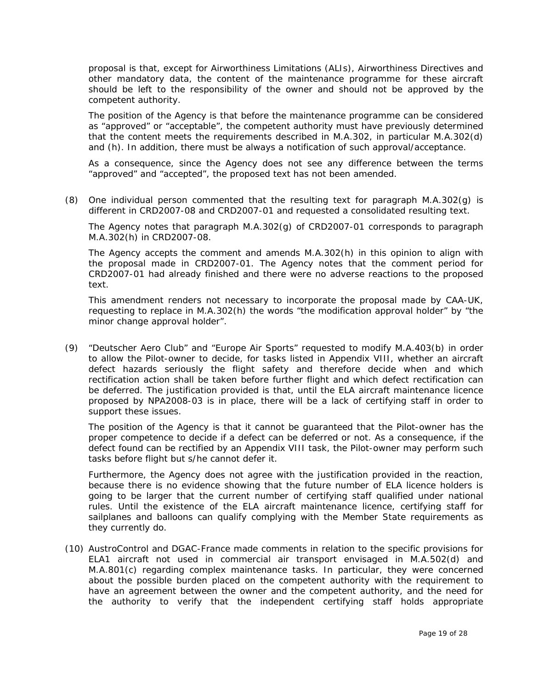proposal is that, except for Airworthiness Limitations (ALIs), Airworthiness Directives and other mandatory data, the content of the maintenance programme for these aircraft should be left to the responsibility of the owner and should not be approved by the competent authority.

The position of the Agency is that before the maintenance programme can be considered as "approved" or "acceptable", the competent authority must have previously determined that the content meets the requirements described in M.A.302, in particular M.A.302(d) and (h). In addition, there must be always a notification of such approval/acceptance.

As a consequence, since the Agency does not see any difference between the terms "approved" and "accepted", the proposed text has not been amended.

(8) One individual person commented that the resulting text for paragraph M.A.302(g) is different in CRD2007-08 and CRD2007-01 and requested a consolidated resulting text.

The Agency notes that paragraph M.A.302(g) of CRD2007-01 corresponds to paragraph M.A.302(h) in CRD2007-08.

The Agency accepts the comment and amends M.A.302(h) in this opinion to align with the proposal made in CRD2007-01. The Agency notes that the comment period for CRD2007-01 had already finished and there were no adverse reactions to the proposed text.

This amendment renders not necessary to incorporate the proposal made by CAA-UK, requesting to replace in M.A.302(h) the words *"the modification approval holder"* by *"the minor change approval holder".*

(9) "Deutscher Aero Club" and "Europe Air Sports" requested to modify M.A.403(b) in order to allow the Pilot-owner to decide, for tasks listed in Appendix VIII, whether an aircraft defect hazards seriously the flight safety and therefore decide when and which rectification action shall be taken before further flight and which defect rectification can be deferred. The justification provided is that, until the ELA aircraft maintenance licence proposed by NPA2008-03 is in place, there will be a lack of certifying staff in order to support these issues.

The position of the Agency is that it cannot be guaranteed that the Pilot-owner has the proper competence to decide if a defect can be deferred or not. As a consequence, if the defect found can be rectified by an Appendix VIII task, the Pilot-owner may perform such tasks before flight but s/he cannot defer it.

Furthermore, the Agency does not agree with the justification provided in the reaction, because there is no evidence showing that the future number of ELA licence holders is going to be larger that the current number of certifying staff qualified under national rules. Until the existence of the ELA aircraft maintenance licence, certifying staff for sailplanes and balloons can qualify complying with the Member State requirements as they currently do.

(10) AustroControl and DGAC-France made comments in relation to the specific provisions for ELA1 aircraft not used in commercial air transport envisaged in M.A.502(d) and M.A.801(c) regarding complex maintenance tasks. In particular, they were concerned about the possible burden placed on the competent authority with the requirement to have an agreement between the owner and the competent authority, and the need for the authority to verify that the independent certifying staff holds appropriate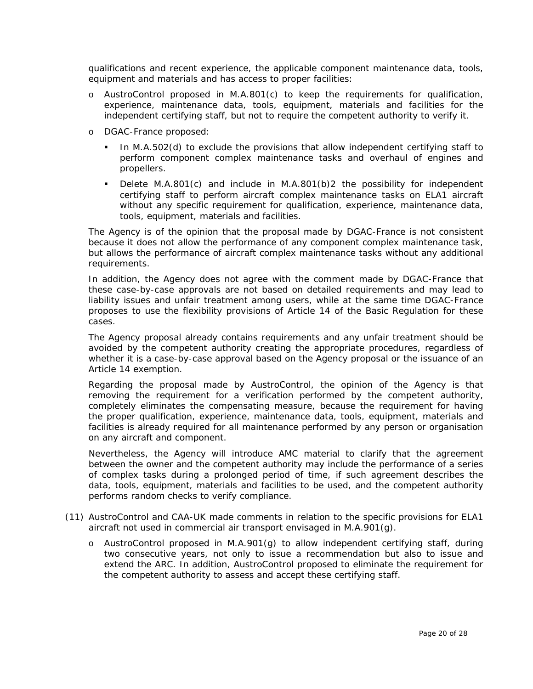qualifications and recent experience, the applicable component maintenance data, tools, equipment and materials and has access to proper facilities:

- o AustroControl proposed in M.A.801(c) to keep the requirements for qualification, experience, maintenance data, tools, equipment, materials and facilities for the independent certifying staff, but not to require the competent authority to verify it.
- o DGAC-France proposed:
	- In M.A.502(d) to exclude the provisions that allow independent certifying staff to perform component complex maintenance tasks and overhaul of engines and propellers.
	- Delete M.A.801(c) and include in M.A.801(b)2 the possibility for independent certifying staff to perform aircraft complex maintenance tasks on ELA1 aircraft without any specific requirement for qualification, experience, maintenance data, tools, equipment, materials and facilities.

The Agency is of the opinion that the proposal made by DGAC-France is not consistent because it does not allow the performance of any component complex maintenance task, but allows the performance of aircraft complex maintenance tasks without any additional requirements.

In addition, the Agency does not agree with the comment made by DGAC-France that these case-by-case approvals are not based on detailed requirements and may lead to liability issues and unfair treatment among users, while at the same time DGAC-France proposes to use the flexibility provisions of Article 14 of the Basic Regulation for these cases.

The Agency proposal already contains requirements and any unfair treatment should be avoided by the competent authority creating the appropriate procedures, regardless of whether it is a case-by-case approval based on the Agency proposal or the issuance of an Article 14 exemption.

Regarding the proposal made by AustroControl, the opinion of the Agency is that removing the requirement for a verification performed by the competent authority, completely eliminates the compensating measure, because the requirement for having the proper qualification, experience, maintenance data, tools, equipment, materials and facilities is already required for all maintenance performed by any person or organisation on any aircraft and component.

Nevertheless, the Agency will introduce AMC material to clarify that the agreement between the owner and the competent authority may include the performance of a series of complex tasks during a prolonged period of time, if such agreement describes the data, tools, equipment, materials and facilities to be used, and the competent authority performs random checks to verify compliance.

- (11) AustroControl and CAA-UK made comments in relation to the specific provisions for ELA1 aircraft not used in commercial air transport envisaged in M.A.901(g).
	- o AustroControl proposed in M.A.901(g) to allow independent certifying staff, during two consecutive years, not only to issue a recommendation but also to issue and extend the ARC. In addition, AustroControl proposed to eliminate the requirement for the competent authority to assess and accept these certifying staff.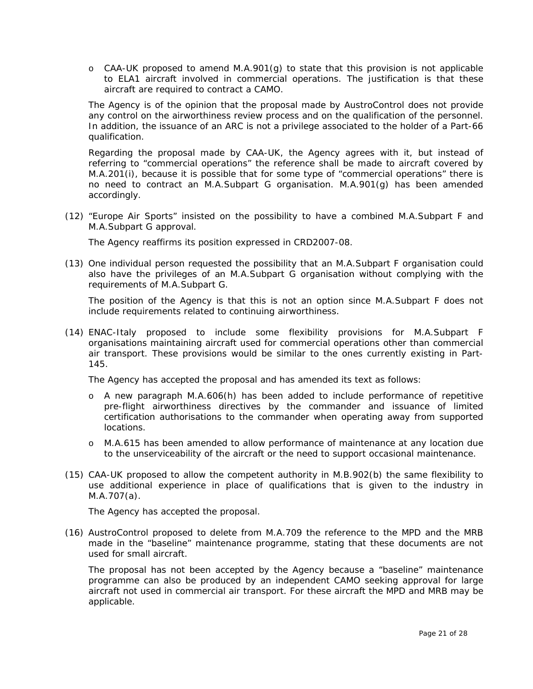$\circ$  CAA-UK proposed to amend M.A.901(g) to state that this provision is not applicable to ELA1 aircraft involved in commercial operations. The justification is that these aircraft are required to contract a CAMO.

The Agency is of the opinion that the proposal made by AustroControl does not provide any control on the airworthiness review process and on the qualification of the personnel. In addition, the issuance of an ARC is not a privilege associated to the holder of a Part-66 qualification.

Regarding the proposal made by CAA-UK, the Agency agrees with it, but instead of referring to "commercial operations" the reference shall be made to aircraft covered by M.A.201(i), because it is possible that for some type of "commercial operations" there is no need to contract an M.A.Subpart G organisation. M.A.901(g) has been amended accordingly.

(12) "Europe Air Sports" insisted on the possibility to have a combined M.A.Subpart F and M.A.Subpart G approval.

The Agency reaffirms its position expressed in CRD2007-08.

(13) One individual person requested the possibility that an M.A.Subpart F organisation could also have the privileges of an M.A.Subpart G organisation without complying with the requirements of M.A.Subpart G.

The position of the Agency is that this is not an option since M.A.Subpart F does not include requirements related to continuing airworthiness.

(14) ENAC-Italy proposed to include some flexibility provisions for M.A.Subpart F organisations maintaining aircraft used for commercial operations other than commercial air transport. These provisions would be similar to the ones currently existing in Part-145.

The Agency has accepted the proposal and has amended its text as follows:

- o A new paragraph M.A.606(h) has been added to include performance of repetitive pre-flight airworthiness directives by the commander and issuance of limited certification authorisations to the commander when operating away from supported locations.
- o M.A.615 has been amended to allow performance of maintenance at any location due to the unserviceability of the aircraft or the need to support occasional maintenance.
- (15) CAA-UK proposed to allow the competent authority in M.B.902(b) the same flexibility to use additional experience in place of qualifications that is given to the industry in M.A.707(a).

The Agency has accepted the proposal.

(16) AustroControl proposed to delete from M.A.709 the reference to the MPD and the MRB made in the *"baseline"* maintenance programme, stating that these documents are not used for small aircraft.

The proposal has not been accepted by the Agency because a *"baseline"* maintenance programme can also be produced by an independent CAMO seeking approval for large aircraft not used in commercial air transport. For these aircraft the MPD and MRB may be applicable.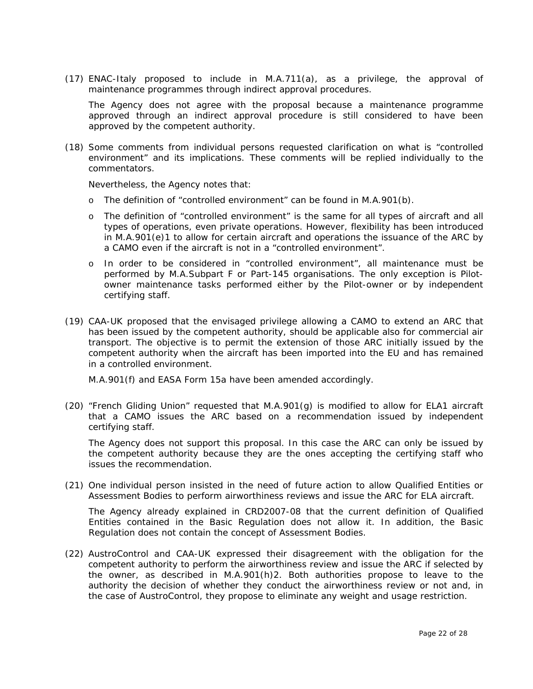(17) ENAC-Italy proposed to include in M.A.711(a), as a privilege, the approval of maintenance programmes through indirect approval procedures.

The Agency does not agree with the proposal because a maintenance programme approved through an indirect approval procedure is still considered to have been approved by the competent authority.

(18) Some comments from individual persons requested clarification on what is "controlled environment" and its implications. These comments will be replied individually to the commentators.

Nevertheless, the Agency notes that:

- o The definition of "controlled environment" can be found in M.A.901(b).
- o The definition of "controlled environment" is the same for all types of aircraft and all types of operations, even private operations. However, flexibility has been introduced in M.A.901(e)1 to allow for certain aircraft and operations the issuance of the ARC by a CAMO even if the aircraft is not in a "controlled environment".
- o In order to be considered in "controlled environment", all maintenance must be performed by M.A.Subpart F or Part-145 organisations. The only exception is Pilotowner maintenance tasks performed either by the Pilot-owner or by independent certifying staff.
- (19) CAA-UK proposed that the envisaged privilege allowing a CAMO to extend an ARC that has been issued by the competent authority, should be applicable also for commercial air transport. The objective is to permit the extension of those ARC initially issued by the competent authority when the aircraft has been imported into the EU and has remained in a controlled environment.

M.A.901(f) and EASA Form 15a have been amended accordingly.

(20) "French Gliding Union" requested that M.A.901(g) is modified to allow for ELA1 aircraft that a CAMO issues the ARC based on a recommendation issued by independent certifying staff.

The Agency does not support this proposal. In this case the ARC can only be issued by the competent authority because they are the ones accepting the certifying staff who issues the recommendation.

(21) One individual person insisted in the need of future action to allow Qualified Entities or Assessment Bodies to perform airworthiness reviews and issue the ARC for ELA aircraft.

The Agency already explained in CRD2007-08 that the current definition of Qualified Entities contained in the Basic Regulation does not allow it. In addition, the Basic Regulation does not contain the concept of Assessment Bodies.

(22) AustroControl and CAA-UK expressed their disagreement with the obligation for the competent authority to perform the airworthiness review and issue the ARC if selected by the owner, as described in M.A.901(h)2. Both authorities propose to leave to the authority the decision of whether they conduct the airworthiness review or not and, in the case of AustroControl, they propose to eliminate any weight and usage restriction.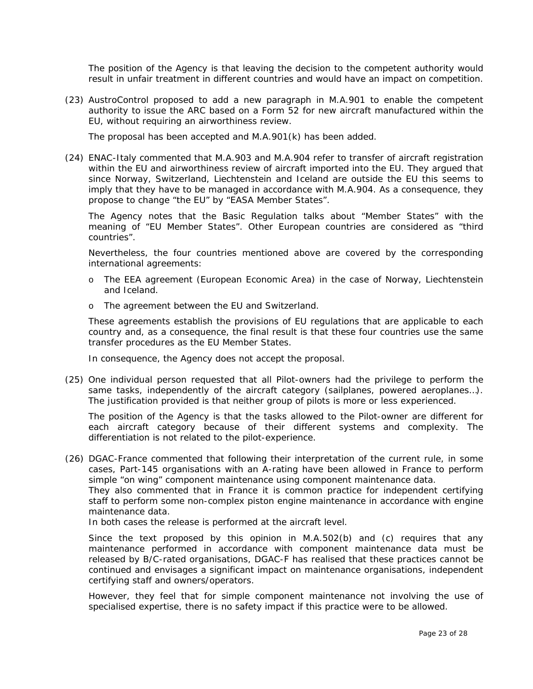The position of the Agency is that leaving the decision to the competent authority would result in unfair treatment in different countries and would have an impact on competition.

(23) AustroControl proposed to add a new paragraph in M.A.901 to enable the competent authority to issue the ARC based on a Form 52 for new aircraft manufactured within the EU, without requiring an airworthiness review.

The proposal has been accepted and M.A.901(k) has been added.

(24) ENAC-Italy commented that M.A.903 and M.A.904 refer to transfer of aircraft registration within the EU and airworthiness review of aircraft imported into the EU. They argued that since Norway, Switzerland, Liechtenstein and Iceland are outside the EU this seems to imply that they have to be managed in accordance with M.A.904. As a consequence, they propose to change *"the EU"* by *"EASA Member States"*.

The Agency notes that the Basic Regulation talks about "Member States" with the meaning of "EU Member States". Other European countries are considered as "third countries".

Nevertheless, the four countries mentioned above are covered by the corresponding international agreements:

- o The EEA agreement (European Economic Area) in the case of Norway, Liechtenstein and Iceland.
- o The agreement between the EU and Switzerland.

These agreements establish the provisions of EU regulations that are applicable to each country and, as a consequence, the final result is that these four countries use the same transfer procedures as the EU Member States.

In consequence, the Agency does not accept the proposal.

(25) One individual person requested that all Pilot-owners had the privilege to perform the same tasks, independently of the aircraft category (sailplanes, powered aeroplanes…). The justification provided is that neither group of pilots is more or less experienced.

The position of the Agency is that the tasks allowed to the Pilot-owner are different for each aircraft category because of their different systems and complexity. The differentiation is not related to the pilot-experience.

(26) DGAC-France commented that following their interpretation of the current rule, in some cases, Part-145 organisations with an A-rating have been allowed in France to perform simple "on wing" component maintenance using component maintenance data.

They also commented that in France it is common practice for independent certifying staff to perform some non-complex piston engine maintenance in accordance with engine maintenance data.

In both cases the release is performed at the aircraft level.

Since the text proposed by this opinion in M.A.502(b) and (c) requires that any maintenance performed in accordance with component maintenance data must be released by B/C-rated organisations, DGAC-F has realised that these practices cannot be continued and envisages a significant impact on maintenance organisations, independent certifying staff and owners/operators.

However, they feel that for simple component maintenance not involving the use of specialised expertise, there is no safety impact if this practice were to be allowed.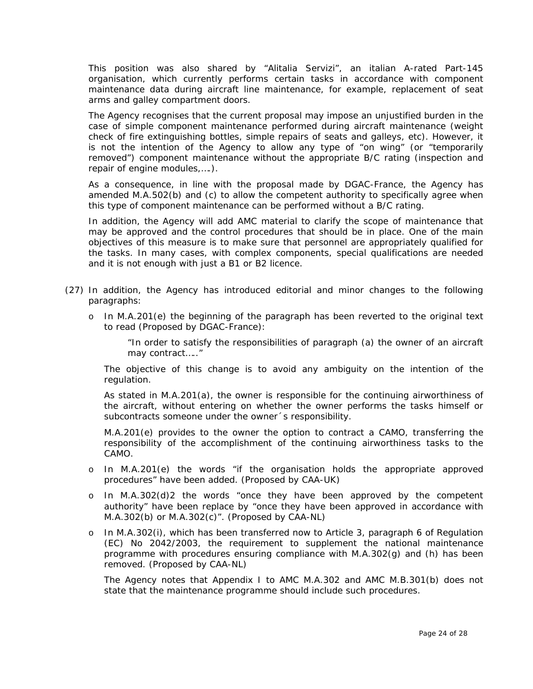This position was also shared by "Alitalia Servizi", an italian A-rated Part-145 organisation, which currently performs certain tasks in accordance with component maintenance data during aircraft line maintenance, for example, replacement of seat arms and galley compartment doors.

The Agency recognises that the current proposal may impose an unjustified burden in the case of simple component maintenance performed during aircraft maintenance (weight check of fire extinguishing bottles, simple repairs of seats and galleys, etc). However, it is not the intention of the Agency to allow any type of "on wing" (or "temporarily removed") component maintenance without the appropriate B/C rating (inspection and repair of engine modules,….).

As a consequence, in line with the proposal made by DGAC-France, the Agency has amended M.A.502(b) and (c) to allow the competent authority to specifically agree when this type of component maintenance can be performed without a B/C rating.

In addition, the Agency will add AMC material to clarify the scope of maintenance that may be approved and the control procedures that should be in place. One of the main objectives of this measure is to make sure that personnel are appropriately qualified for the tasks. In many cases, with complex components, special qualifications are needed and it is not enough with just a B1 or B2 licence.

- (27) In addition, the Agency has introduced editorial and minor changes to the following paragraphs:
	- o In M.A.201(e) the beginning of the paragraph has been reverted to the original text to read (Proposed by DGAC-France):

*"In order to satisfy the responsibilities of paragraph (a) the owner of an aircraft may contract….."* 

The objective of this change is to avoid any ambiguity on the intention of the regulation.

As stated in M.A.201(a), the owner is responsible for the continuing airworthiness of the aircraft, without entering on whether the owner performs the tasks himself or subcontracts someone under the owner´s responsibility.

M.A.201(e) provides to the owner the option to contract a CAMO, transferring the responsibility of the accomplishment of the continuing airworthiness tasks to the CAMO.

- o In M.A.201(e) the words *"if the organisation holds the appropriate approved procedures"* have been added. (Proposed by CAA-UK)
- o In M.A.302(d)2 the words *"once they have been approved by the competent authority"* have been replace by *"once they have been approved in accordance with M.A.302(b) or M.A.302(c)"*. (Proposed by CAA-NL)
- o In M.A.302(i), which has been transferred now to Article 3, paragraph 6 of Regulation (EC) No 2042/2003, the requirement to supplement the national maintenance programme with procedures ensuring compliance with M.A.302(g) and (h) has been removed. (Proposed by CAA-NL)

The Agency notes that Appendix I to AMC M.A.302 and AMC M.B.301(b) does not state that the maintenance programme should include such procedures.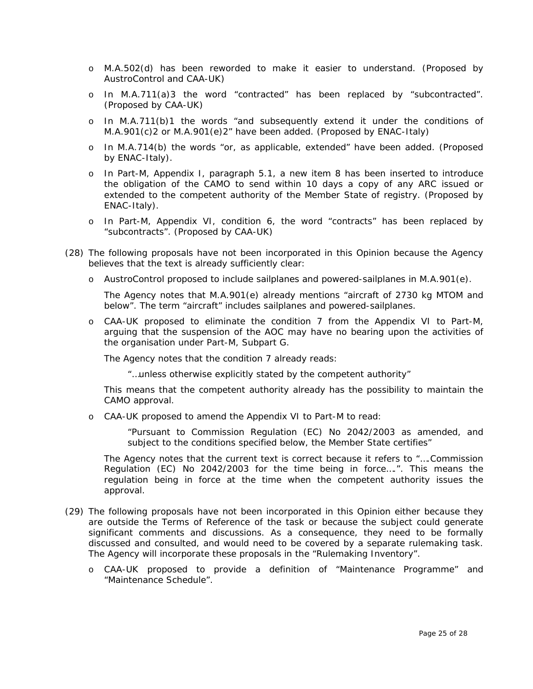- o M.A.502(d) has been reworded to make it easier to understand. (Proposed by AustroControl and CAA-UK)
- o In M.A.711(a)3 the word *"contracted"* has been replaced by *"subcontracted".* (Proposed by CAA-UK)
- o In M.A.711(b)1 the words *"and subsequently extend it under the conditions of M.A.901(c)2 or M.A.901(e)2"* have been added. (Proposed by ENAC-Italy)
- o In M.A.714(b) the words *"or, as applicable, extended"* have been added. (Proposed by ENAC-Italy).
- o In Part-M, Appendix I, paragraph 5.1, a new item 8 has been inserted to introduce the obligation of the CAMO to send within 10 days a copy of any ARC issued or extended to the competent authority of the Member State of registry. (Proposed by ENAC-Italy).
- o In Part-M, Appendix VI, condition 6, the word *"contracts"* has been replaced by *"subcontracts"*. (Proposed by CAA-UK)
- (28) The following proposals have not been incorporated in this Opinion because the Agency believes that the text is already sufficiently clear:
	- o AustroControl proposed to include sailplanes and powered-sailplanes in M.A.901(e).

The Agency notes that M.A.901(e) already mentions *"aircraft of 2730 kg MTOM and below"*. The term "aircraft" includes sailplanes and powered-sailplanes.

o CAA-UK proposed to eliminate the condition 7 from the Appendix VI to Part-M, arguing that the suspension of the AOC may have no bearing upon the activities of the organisation under Part-M, Subpart G.

The Agency notes that the condition 7 already reads:

*"…unless otherwise explicitly stated by the competent authority"* 

This means that the competent authority already has the possibility to maintain the CAMO approval.

o CAA-UK proposed to amend the Appendix VI to Part-M to read:

"*Pursuant to Commission Regulation (EC) No 2042/2003 as amended, and subject to the conditions specified below, the Member State certifies"* 

The Agency notes that the current text is correct because it refers to "….Commission Regulation (EC) No 2042/2003 for the time being in force….". This means the regulation being in force at the time when the competent authority issues the approval.

- (29) The following proposals have not been incorporated in this Opinion either because they are outside the Terms of Reference of the task or because the subject could generate significant comments and discussions. As a consequence, they need to be formally discussed and consulted, and would need to be covered by a separate rulemaking task. The Agency will incorporate these proposals in the "Rulemaking Inventory".
	- o CAA-UK proposed to provide a definition of "Maintenance Programme" and "Maintenance Schedule".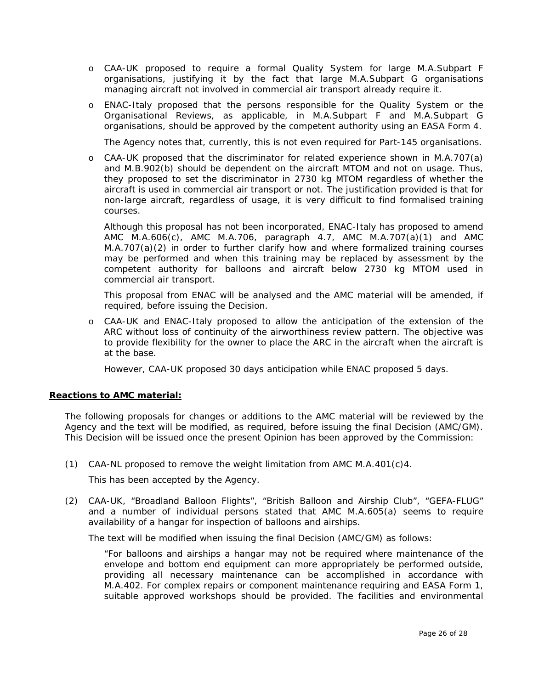- o CAA-UK proposed to require a formal Quality System for large M.A.Subpart F organisations, justifying it by the fact that large M.A.Subpart G organisations managing aircraft not involved in commercial air transport already require it.
- o ENAC-Italy proposed that the persons responsible for the Quality System or the Organisational Reviews, as applicable, in M.A.Subpart F and M.A.Subpart G organisations, should be approved by the competent authority using an EASA Form 4.

The Agency notes that, currently, this is not even required for Part-145 organisations.

o CAA-UK proposed that the discriminator for related experience shown in M.A.707(a) and M.B.902(b) should be dependent on the aircraft MTOM and not on usage. Thus, they proposed to set the discriminator in 2730 kg MTOM regardless of whether the aircraft is used in commercial air transport or not. The justification provided is that for non-large aircraft, regardless of usage, it is very difficult to find formalised training courses.

Although this proposal has not been incorporated, ENAC-Italy has proposed to amend AMC M.A.606(c), AMC M.A.706, paragraph 4.7, AMC M.A.707(a)(1) and AMC M.A.707(a)(2) in order to further clarify how and where formalized training courses may be performed and when this training may be replaced by assessment by the competent authority for balloons and aircraft below 2730 kg MTOM used in commercial air transport.

This proposal from ENAC will be analysed and the AMC material will be amended, if required, before issuing the Decision.

o CAA-UK and ENAC-Italy proposed to allow the anticipation of the extension of the ARC without loss of continuity of the airworthiness review pattern. The objective was to provide flexibility for the owner to place the ARC in the aircraft when the aircraft is at the base.

However, CAA-UK proposed 30 days anticipation while ENAC proposed 5 days.

#### **Reactions to AMC material:**

The following proposals for changes or additions to the AMC material will be reviewed by the Agency and the text will be modified, as required, before issuing the final Decision (AMC/GM). This Decision will be issued once the present Opinion has been approved by the Commission:

(1) CAA-NL proposed to remove the weight limitation from AMC  $M.A.401(c)4$ .

This has been accepted by the Agency.

(2) CAA-UK, "Broadland Balloon Flights", "British Balloon and Airship Club", "GEFA-FLUG" and a number of individual persons stated that AMC M.A.605(a) seems to require availability of a hangar for inspection of balloons and airships.

The text will be modified when issuing the final Decision (AMC/GM) as follows:

*"For balloons and airships a hangar may not be required where maintenance of the*  envelope and bottom end equipment can more appropriately be performed outside, *providing all necessary maintenance can be accomplished in accordance with M.A.402. For complex repairs or component maintenance requiring and EASA Form 1, suitable approved workshops should be provided. The facilities and environmental*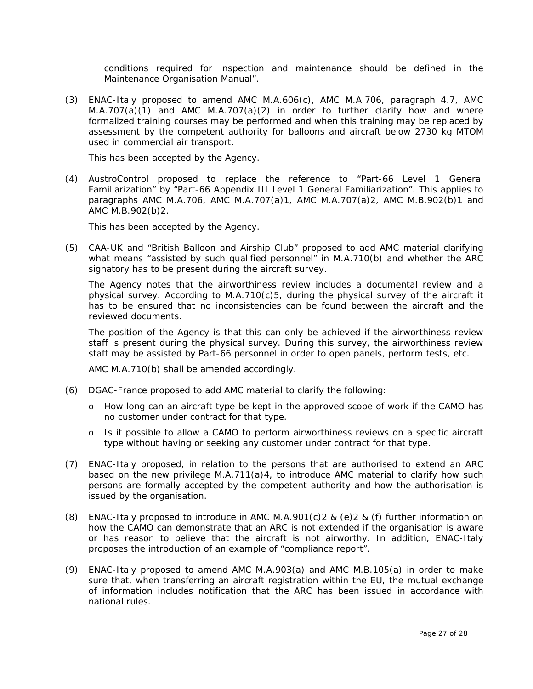*conditions required for inspection and maintenance should be defined in the Maintenance Organisation Manual".* 

(3) ENAC-Italy proposed to amend AMC M.A.606(c), AMC M.A.706, paragraph 4.7, AMC M.A.707(a)(1) and AMC M.A.707(a)(2) in order to further clarify how and where formalized training courses may be performed and when this training may be replaced by assessment by the competent authority for balloons and aircraft below 2730 kg MTOM used in commercial air transport.

This has been accepted by the Agency.

(4) AustroControl proposed to replace the reference to "Part-66 Level 1 General Familiarization" by "Part-66 Appendix III Level 1 General Familiarization". This applies to paragraphs AMC M.A.706, AMC M.A.707(a)1, AMC M.A.707(a)2, AMC M.B.902(b)1 and AMC M.B.902(b)2.

This has been accepted by the Agency.

(5) CAA-UK and "British Balloon and Airship Club" proposed to add AMC material clarifying what means "assisted by such qualified personnel" in M.A.710(b) and whether the ARC signatory has to be present during the aircraft survey.

The Agency notes that the airworthiness review includes a documental review and a physical survey. According to M.A.710(c)5, during the physical survey of the aircraft it has to be ensured that no inconsistencies can be found between the aircraft and the reviewed documents.

The position of the Agency is that this can only be achieved if the airworthiness review staff is present during the physical survey. During this survey, the airworthiness review staff may be assisted by Part-66 personnel in order to open panels, perform tests, etc.

AMC M.A.710(b) shall be amended accordingly.

- (6) DGAC-France proposed to add AMC material to clarify the following:
	- o How long can an aircraft type be kept in the approved scope of work if the CAMO has no customer under contract for that type.
	- o Is it possible to allow a CAMO to perform airworthiness reviews on a specific aircraft type without having or seeking any customer under contract for that type.
- (7) ENAC-Italy proposed, in relation to the persons that are authorised to extend an ARC based on the new privilege M.A.711(a)4, to introduce AMC material to clarify how such persons are formally accepted by the competent authority and how the authorisation is issued by the organisation.
- (8) ENAC-Italy proposed to introduce in AMC M.A.901(c)2 & (e)2 & (f) further information on how the CAMO can demonstrate that an ARC is not extended if the organisation is aware or has reason to believe that the aircraft is not airworthy. In addition, ENAC-Italy proposes the introduction of an example of "compliance report".
- (9) ENAC-Italy proposed to amend AMC M.A.903(a) and AMC M.B.105(a) in order to make sure that, when transferring an aircraft registration within the EU, the mutual exchange of information includes notification that the ARC has been issued in accordance with national rules.